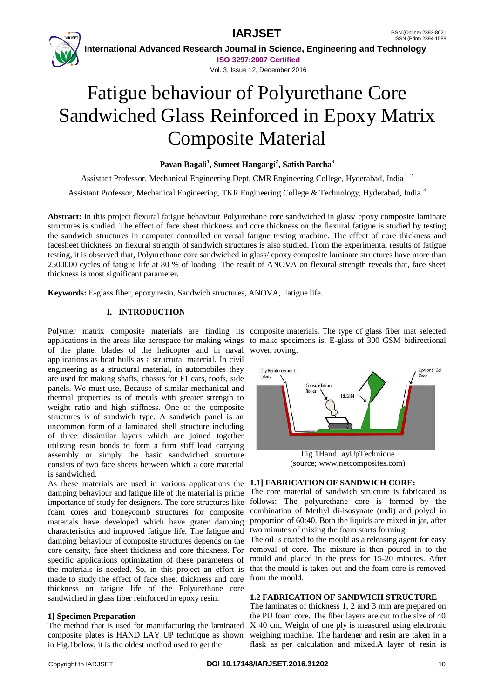

 **International Advanced Research Journal in Science, Engineering and Technology ISO 3297:2007 Certified**

Vol. 3, Issue 12, December 2016

# Fatigue behaviour of Polyurethane Core Sandwiched Glass Reinforced in Epoxy Matrix Composite Material

# **Pavan Bagali<sup>1</sup> , Sumeet Hangargi<sup>2</sup> , Satish Parcha<sup>3</sup>**

Assistant Professor, Mechanical Engineering Dept, CMR Engineering College, Hyderabad, India<sup>1,2</sup>

Assistant Professor, Mechanical Engineering, TKR Engineering College & Technology, Hyderabad, India <sup>3</sup>

**Abstract:** In this project flexural fatigue behaviour Polyurethane core sandwiched in glass/ epoxy composite laminate structures is studied. The effect of face sheet thickness and core thickness on the flexural fatigue is studied by testing the sandwich structures in computer controlled universal fatigue testing machine. The effect of core thickness and facesheet thickness on flexural strength of sandwich structures is also studied. From the experimental results of fatigue testing, it is observed that, Polyurethane core sandwiched in glass/ epoxy composite laminate structures have more than 2500000 cycles of fatigue life at 80 % of loading. The result of ANOVA on flexural strength reveals that, face sheet thickness is most significant parameter.

**Keywords:** E-glass fiber, epoxy resin, Sandwich structures, ANOVA, Fatigue life.

# **I. INTRODUCTION**

of the plane, blades of the helicopter and in naval woven roving. applications as boat hulls as a structural material. In civil engineering as a structural material, in automobiles they are used for making shafts, chassis for F1 cars, roofs, side panels. We must use, Because of similar mechanical and thermal properties as of metals with greater strength to weight ratio and high stiffness. One of the composite structures is of sandwich type. A sandwich panel is an uncommon form of a laminated shell structure including of three dissimilar layers which are joined together utilizing resin bonds to form a firm stiff load carrying assembly or simply the basic sandwiched structure consists of two face sheets between which a core material is sandwiched.

As these materials are used in various applications the damping behaviour and fatigue life of the material is prime importance of study for designers. The core structures like foam cores and honeycomb structures for composite materials have developed which have grater damping characteristics and improved fatigue life. The fatigue and damping behaviour of composite structures depends on the The oil is coated to the mould as a releasing agent for easy core density, face sheet thickness and core thickness. For removal of core. The mixture is then poured in to the specific applications optimization of these parameters of mould and placed in the press for 15-20 minutes. After the materials is needed. So, in this project an effort is that the mould is taken out and the foam core is removed made to study the effect of face sheet thickness and core from the mould. thickness on fatigue life of the Polyurethane core sandwiched in glass fiber reinforced in epoxy resin.

### **1] Specimen Preparation**

The method that is used for manufacturing the laminated composite plates is HAND LAY UP technique as shown in Fig.1below, it is the oldest method used to get the

Polymer matrix composite materials are finding its composite materials. The type of glass fiber mat selected applications in the areas like aerospace for making wings to make specimens is, E-glass of 300 GSM bidirectional



(source; www.netcomposites.com)

### **1.1] FABRICATION OF SANDWICH CORE:**

The core material of sandwich structure is fabricated as follows: The polyurethane core is formed by the combination of Methyl di-isosynate (mdi) and polyol in proportion of 60:40. Both the liquids are mixed in jar, after two minutes of mixing the foam starts forming.

### **1.2 FABRICATION OF SANDWICH STRUCTURE**

The laminates of thickness 1, 2 and 3 mm are prepared on the PU foam core. The fiber layers are cut to the size of 40 X 40 cm, Weight of one ply is measured using electronic weighing machine. The hardener and resin are taken in a flask as per calculation and mixed.A layer of resin is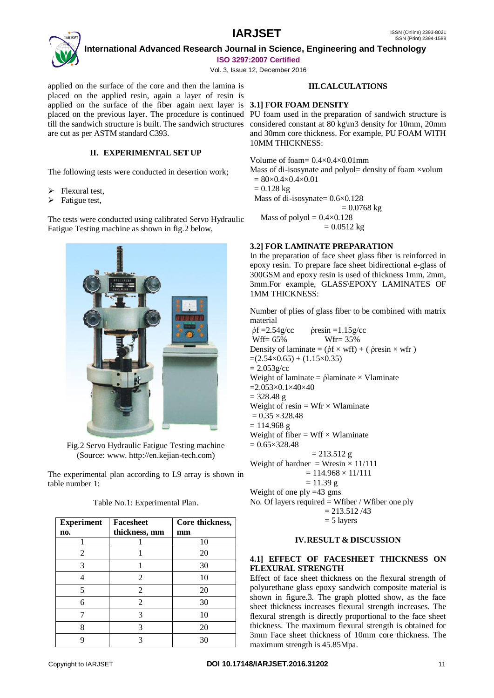

 **International Advanced Research Journal in Science, Engineering and Technology ISO 3297:2007 Certified**

Vol. 3, Issue 12, December 2016

applied on the surface of the core and then the lamina is placed on the applied resin, again a layer of resin is applied on the surface of the fiber again next layer is **3.1] FOR FOAM DENSITY** placed on the previous layer. The procedure is continued PU foam used in the preparation of sandwich structure is till the sandwich structure is built. The sandwich structures considered constant at 80 kg\m3 density for 10mm, 20mm are cut as per ASTM standard C393.

### **II. EXPERIMENTAL SET UP**

The following tests were conducted in desertion work;

- $\triangleright$  Flexural test,
- $\triangleright$  Fatigue test,

The tests were conducted using calibrated Servo Hydraulic Fatigue Testing machine as shown in fig.2 below,



Fig.2 Servo Hydraulic Fatigue Testing machine (Source: www. http://en.kejian-tech.com)

The experimental plan according to L9 array is shown in table number 1:

| Table No.1: Experimental Plan. |  |
|--------------------------------|--|
|--------------------------------|--|

| <b>Experiment</b> | <b>Facesheet</b> | Core thickness, |
|-------------------|------------------|-----------------|
| no.               | thickness, mm    | mm              |
|                   |                  | 10              |
| 2                 |                  | 20              |
| 3                 |                  | 30              |
|                   | 2                | 10              |
| 5                 | $\mathfrak{D}$   | 20              |
| 6                 | 2                | 30              |
|                   | 3                | 10              |
| 8                 | 3                | 20              |
|                   |                  | 30              |

### **III.CALCULATIONS**

and 30mm core thickness. For example, PU FOAM WITH 10MM THICKNESS:

Volume of foam=  $0.4 \times 0.4 \times 0.01$  mm

Mass of di-isosynate and polyol= density of foam  $\times$ volum  $= 80 \times 0.4 \times 0.4 \times 0.01$ 

 $= 0.128$  kg

Mass of di-isosynate= 0.6×0.128

 $= 0.0768$  kg

Mass of polyol  $= 0.4 \times 0.128$ 

 $= 0.0512$  kg

### **3.2] FOR LAMINATE PREPARATION**

In the preparation of face sheet glass fiber is reinforced in epoxy resin. To prepare face sheet bidirectional e-glass of 300GSM and epoxy resin is used of thickness 1mm, 2mm, 3mm.For example, GLASS\EPOXY LAMINATES OF 1MM THICKNESS:

Number of plies of glass fiber to be combined with matrix material

 $\dot{\rho}f = 2.54g/\text{cc}$   $\dot{\rho}$ resin = 1.15g/cc Wff= 65% Wfr= 35% Density of laminate =  $(\dot{\rho} f \times \text{wff}) + (\dot{\rho} \text{resin} \times \text{wff})$  $=(2.54\times0.65) + (1.15\times0.35)$  $= 2.053g/cc$ Weight of laminate =  $\phi$ laminate × Vlaminate  $=2.053\times0.1\times40\times40$  $= 328.48 \text{ g}$ Weight of resin =  $Wfr \times W$ laminate  $= 0.35 \times 328.48$  $= 114.968 \text{ g}$ Weight of fiber  $= Wff \times W$ laminate  $= 0.65 \times 328.48$  $= 213.512$  g Weight of hardner = Wresin  $\times$  11/111  $= 114.968 \times 11/111$  $= 11.39$  g Weight of one ply =43 gms No. Of layers required  $=$  Wfiber / Wfiber one ply  $= 213.512 / 43$  $= 5$  layers

### **IV.RESULT & DISCUSSION**

### **4.1] EFFECT OF FACESHEET THICKNESS ON FLEXURAL STRENGTH**

Effect of face sheet thickness on the flexural strength of polyurethane glass epoxy sandwich composite material is shown in figure.3. The graph plotted show, as the face sheet thickness increases flexural strength increases. The flexural strength is directly proportional to the face sheet thickness. The maximum flexural strength is obtained for 3mm Face sheet thickness of 10mm core thickness. The maximum strength is 45.85Mpa.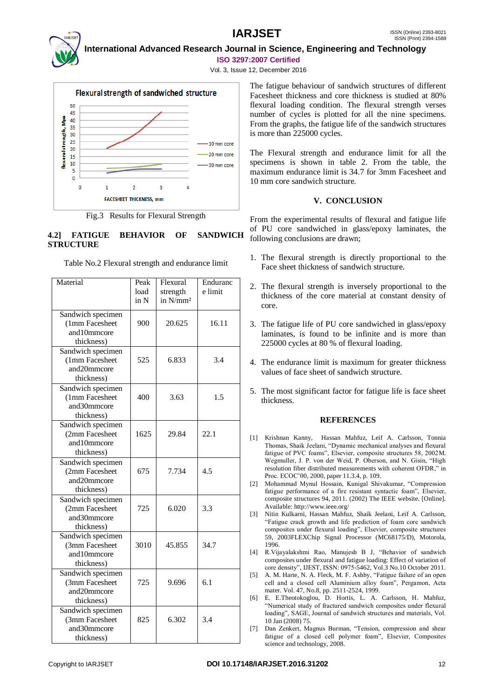

 **International Advanced Research Journal in Science, Engineering and Technology**

**ISO 3297:2007 Certified**

Vol. 3, Issue 12, December 2016



Fig.3 Results for Flexural Strength

# **4.2] FATIGUE BEHAVIOR OF SANDWICH STRUCTURE**

Table No.2 Flexural strength and endurance limit

| Material                            | Peak | Flexural             | Enduranc |
|-------------------------------------|------|----------------------|----------|
|                                     | load | strength             | e limit  |
|                                     | in N | in N/mm <sup>2</sup> |          |
| Sandwich specimen                   |      |                      |          |
| (1mm Facesheet                      | 900  | 20.625               | 16.11    |
| and10mmcore                         |      |                      |          |
| thickness)                          |      |                      |          |
| Sandwich specimen                   |      |                      |          |
| (1mm Facesheet                      | 525  | 6.833                | 3.4      |
| and20mmcore                         |      |                      |          |
| thickness)                          |      |                      |          |
| Sandwich specimen                   |      |                      |          |
| (1mm Facesheet                      | 400  | 3.63                 | 1.5      |
| and30mmcore                         |      |                      |          |
| thickness)                          |      |                      |          |
| Sandwich specimen                   |      |                      |          |
| (2mm Facesheet                      | 1625 | 29.84                | 22.1     |
| and10mmcore                         |      |                      |          |
| thickness)                          |      |                      |          |
| Sandwich specimen                   |      |                      |          |
| (2mm Facesheet                      | 675  | 7.734                | 4.5      |
| and20mmcore                         |      |                      |          |
| thickness)                          |      |                      |          |
| Sandwich specimen                   |      |                      |          |
| (2mm Facesheet                      | 725  | 6.020                | 3.3      |
| and30mmcore                         |      |                      |          |
| thickness)                          |      |                      |          |
| Sandwich specimen<br>(3mm Facesheet | 3010 | 45.855               | 34.7     |
| and10mmcore                         |      |                      |          |
| thickness)                          |      |                      |          |
| Sandwich specimen                   |      |                      |          |
| (3mm Facesheet                      | 725  | 9.696                | 6.1      |
| and20mmcore                         |      |                      |          |
| thickness)                          |      |                      |          |
| Sandwich specimen                   |      |                      |          |
| (3mm Facesheet                      | 825  | 6.302                | 3.4      |
| and30mmcore                         |      |                      |          |
| thickness)                          |      |                      |          |

The fatigue behaviour of sandwich structures of different Facesheet thickness and core thickness is studied at 80% flexural loading condition. The flexural strength verses number of cycles is plotted for all the nine specimens. From the graphs, the fatigue life of the sandwich structures is more than 225000 cycles.

The Flexural strength and endurance limit for all the specimens is shown in table 2. From the table, the maximum endurance limit is 34.7 for 3mm Facesheet and 10 mm core sandwich structure.

# **V. CONCLUSION**

From the experimental results of flexural and fatigue life of PU core sandwiched in glass/epoxy laminates, the following conclusions are drawn;

- 1. The flexural strength is directly proportional to the Face sheet thickness of sandwich structure.
- 2. The flexural strength is inversely proportional to the thickness of the core material at constant density of core.
- 3. The fatigue life of PU core sandwiched in glass/epoxy laminates, is found to be infinite and is more than 225000 cycles at 80 % of flexural loading.
- 4. The endurance limit is maximum for greater thickness values of face sheet of sandwich structure.
- 5. The most significant factor for fatigue life is face sheet thickness.

# **REFERENCES**

- [1] Krishnan Kanny, Hassan Mahfuz, Leif A. Carlsson, Tonnia Thomas, Shaik Jeelani, "Dynamic mechanical analyses and flexural fatigue of PVC foams", Elsevier, composite structures 58, 2002M. Wegmuller, J. P. von der Weid, P. Oberson, and N. Gisin, "High resolution fiber distributed measurements with coherent OFDR," in Proc. ECOC'00, 2000, paper 11.3.4, p. 109.
- [2] Mohammad Mynul Hossain, Kunigal Shivakumar, "Compression fatigue performance of a fire resistant syntactic foam", Elsevier, composite structures 94, 2011. (2002) The IEEE website. [Online]. Available: http://www.ieee.org/
- [3] Nitin Kulkarni, Hassan Mahfuz, Shaik Jeelani, Leif A. Carlsson, "Fatigue crack growth and life prediction of foam core sandwich composites under flexural loading", Elsevier, composite structures 59, 2003FLEXChip Signal Processor (MC68175/D), Motorola, 1996.
- [4] R.Vijayalakshmi Rao, Manujesh B J, "Behavior of sandwich composites under flexural and fatigue loading: Effect of variation of core density", IJEST, ISSN: 0975-5462, Vol.3 No.10 October 2011.
- [5] A. M. Harte, N. A. Fleck, M. F. Ashby, "Fatigue failure of an open cell and a closed cell Aluminium alloy foam", Pergamon, Acta mater. Vol. 47, No.8, pp. 2511-2524, 1999.
- [6] E. E.Theotokoglou, D. Hortis, L. A. Carlsson, H. Mahfuz, "Numerical study of fractured sandwich composites under flexural loading", SAGE, Journal of sandwich structures and materials, Vol. 10 Jan (2008) 75.
- [7] Dan Zenkert, Magnus Burman, "Tension, compression and shear fatigue of a closed cell polymer foam", Elsevier, Composites science and technology, 2008.